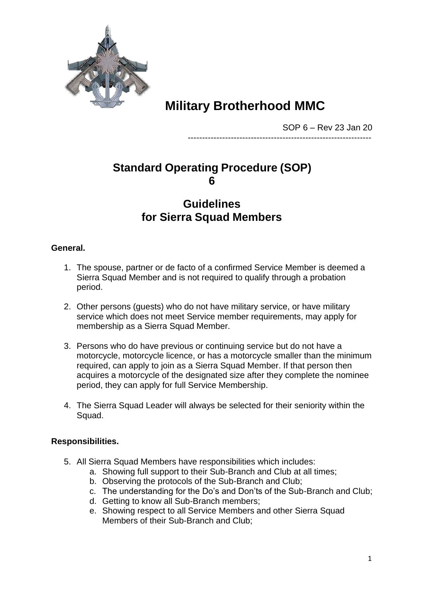

# **Military Brotherhood MMC**

SOP 6 – Rev 23 Jan 20

----------------------------------------------------------------

# **Standard Operating Procedure (SOP) 6**

# **Guidelines for Sierra Squad Members**

## **General.**

- 1. The spouse, partner or de facto of a confirmed Service Member is deemed a Sierra Squad Member and is not required to qualify through a probation period.
- 2. Other persons (guests) who do not have military service, or have military service which does not meet Service member requirements, may apply for membership as a Sierra Squad Member.
- 3. Persons who do have previous or continuing service but do not have a motorcycle, motorcycle licence, or has a motorcycle smaller than the minimum required, can apply to join as a Sierra Squad Member. If that person then acquires a motorcycle of the designated size after they complete the nominee period, they can apply for full Service Membership.
- 4. The Sierra Squad Leader will always be selected for their seniority within the Squad.

## **Responsibilities.**

- 5. All Sierra Squad Members have responsibilities which includes:
	- a. Showing full support to their Sub-Branch and Club at all times;
	- b. Observing the protocols of the Sub-Branch and Club;
	- c. The understanding for the Do's and Don'ts of the Sub-Branch and Club;
	- d. Getting to know all Sub-Branch members;
	- e. Showing respect to all Service Members and other Sierra Squad Members of their Sub-Branch and Club;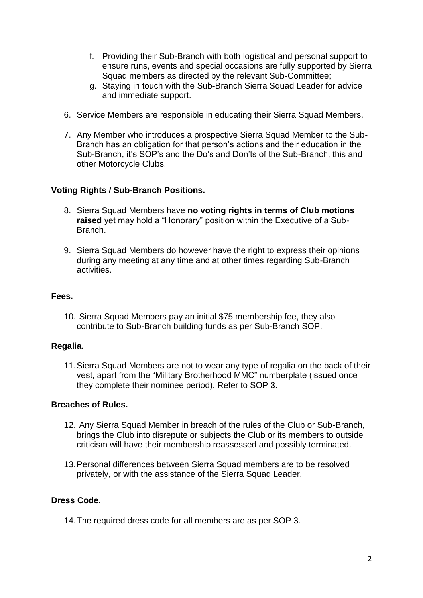- f. Providing their Sub-Branch with both logistical and personal support to ensure runs, events and special occasions are fully supported by Sierra Squad members as directed by the relevant Sub-Committee;
- g. Staying in touch with the Sub-Branch Sierra Squad Leader for advice and immediate support.
- 6. Service Members are responsible in educating their Sierra Squad Members.
- 7. Any Member who introduces a prospective Sierra Squad Member to the Sub-Branch has an obligation for that person's actions and their education in the Sub-Branch, it's SOP's and the Do's and Don'ts of the Sub-Branch, this and other Motorcycle Clubs.

#### **Voting Rights / Sub-Branch Positions.**

- 8. Sierra Squad Members have **no voting rights in terms of Club motions raised** yet may hold a "Honorary" position within the Executive of a Sub-Branch.
- 9. Sierra Squad Members do however have the right to express their opinions during any meeting at any time and at other times regarding Sub-Branch activities.

#### **Fees.**

10. Sierra Squad Members pay an initial \$75 membership fee, they also contribute to Sub-Branch building funds as per Sub-Branch SOP.

## **Regalia.**

11.Sierra Squad Members are not to wear any type of regalia on the back of their vest, apart from the "Military Brotherhood MMC" numberplate (issued once they complete their nominee period). Refer to SOP 3.

#### **Breaches of Rules.**

- 12. Any Sierra Squad Member in breach of the rules of the Club or Sub-Branch, brings the Club into disrepute or subjects the Club or its members to outside criticism will have their membership reassessed and possibly terminated.
- 13.Personal differences between Sierra Squad members are to be resolved privately, or with the assistance of the Sierra Squad Leader.

#### **Dress Code.**

14.The required dress code for all members are as per SOP 3.